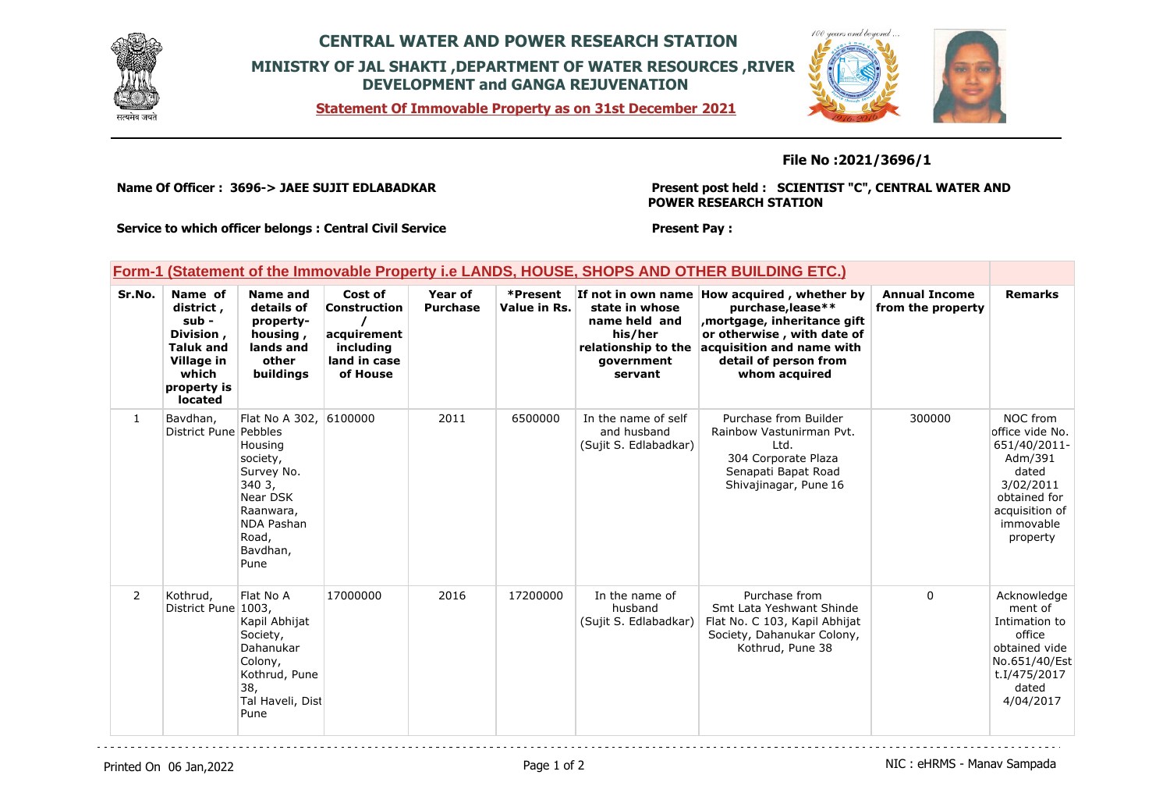

## **CENTRAL WATER AND POWER RESEARCH STATION MINISTRY OF JAL SHAKTI ,DEPARTMENT OF WATER RESOURCES ,RIVER DEVELOPMENT and GANGA REJUVENATION**

**Statement Of Immovable Property as on 31st December 2021**



## **File No :2021/3696/1**

**Name Of Officer : 3696-> JAEE SUJIT EDLABADKAR** 

**Present post held : SCIENTIST "C", CENTRAL WATER AND POWER RESEARCH STATION**

**Present Pay :** 

**Service to which officer belongs : Central Civil Service**

## **Form-1 (Statement of the Immovable Property i.e LANDS, HOUSE, SHOPS AND OTHER BUILDING ETC.)**

| Sr.No.         | Name of<br>district,<br>sub -<br>Division,<br><b>Taluk and</b><br>Village in<br>which<br>property is<br>located | <b>Name and</b><br>details of<br>property-<br>housing,<br>lands and<br>other<br>buildings                                        | Cost of<br>Construction<br>acquirement<br>including<br>land in case<br>of House | Year of<br><b>Purchase</b> | *Present<br>Value in Rs. | If not in own name<br>state in whose<br>name held and<br>his/her<br>relationship to the<br>government<br>servant | How acquired, whether by<br>purchase, lease**<br>mortgage, inheritance gift,<br>or otherwise, with date of<br>acquisition and name with<br>detail of person from<br>whom acquired | <b>Annual Income</b><br>from the property | <b>Remarks</b>                                                                                                                          |
|----------------|-----------------------------------------------------------------------------------------------------------------|----------------------------------------------------------------------------------------------------------------------------------|---------------------------------------------------------------------------------|----------------------------|--------------------------|------------------------------------------------------------------------------------------------------------------|-----------------------------------------------------------------------------------------------------------------------------------------------------------------------------------|-------------------------------------------|-----------------------------------------------------------------------------------------------------------------------------------------|
| $\mathbf{1}$   | Bavdhan,<br>District Pune Pebbles                                                                               | Flat No A 302.<br>Housing<br>society,<br>Survey No.<br>3403,<br>Near DSK<br>Raanwara,<br>NDA Pashan<br>Road,<br>Bavdhan,<br>Pune | 6100000                                                                         | 2011                       | 6500000                  | In the name of self<br>and husband<br>(Sujit S. Edlabadkar)                                                      | Purchase from Builder<br>Rainbow Vastunirman Pvt.<br>Ltd.<br>304 Corporate Plaza<br>Senapati Bapat Road<br>Shivajinagar, Pune 16                                                  | 300000                                    | NOC from<br>office vide No.<br>651/40/2011-<br>Adm/391<br>dated<br>3/02/2011<br>obtained for<br>acquisition of<br>immovable<br>property |
| $\overline{2}$ | Kothrud,<br>District Pune 1003,                                                                                 | Flat No A<br>Kapil Abhijat<br>Society,<br>Dahanukar<br>Colony,<br>Kothrud, Pune<br>38,<br>Tal Haveli, Dist<br>Pune               | 17000000                                                                        | 2016                       | 17200000                 | In the name of<br>husband<br>(Sujit S. Edlabadkar)                                                               | Purchase from<br>Smt Lata Yeshwant Shinde<br>Flat No. C 103, Kapil Abhijat<br>Society, Dahanukar Colony,<br>Kothrud, Pune 38                                                      | 0                                         | Acknowledge<br>ment of<br>Intimation to<br>office<br>obtained vide<br>No.651/40/Est<br>t.I/475/2017<br>dated<br>4/04/2017               |